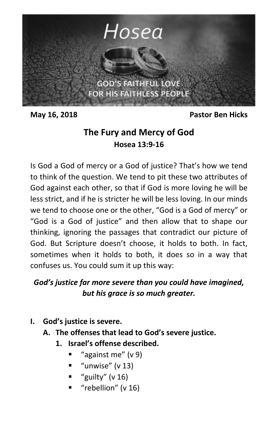

**May 16, 2018 Pastor Ben Hicks**

# **The Fury and Mercy of God Hosea 13:9-16**

Is God a God of mercy or a God of justice? That's how we tend to think of the question. We tend to pit these two attributes of God against each other, so that if God is more loving he will be less strict, and if he is stricter he will be less loving. In our minds we tend to choose one or the other, "God is a God of mercy" or "God is a God of justice" and then allow that to shape our thinking, ignoring the passages that contradict our picture of God. But Scripture doesn't choose, it holds to both. In fact, sometimes when it holds to both, it does so in a way that confuses us. You could sum it up this way:

## *God's justice far more severe than you could have imagined, but his grace is so much greater.*

- **I. God's justice is severe.** 
	- **A. The offenses that lead to God's severe justice.** 
		- **1. Israel's offense described.**
			- "against me" (v 9)
			- "unwise" (v 13)
			- "guilty" (v 16)
			- "rebellion" (v 16)